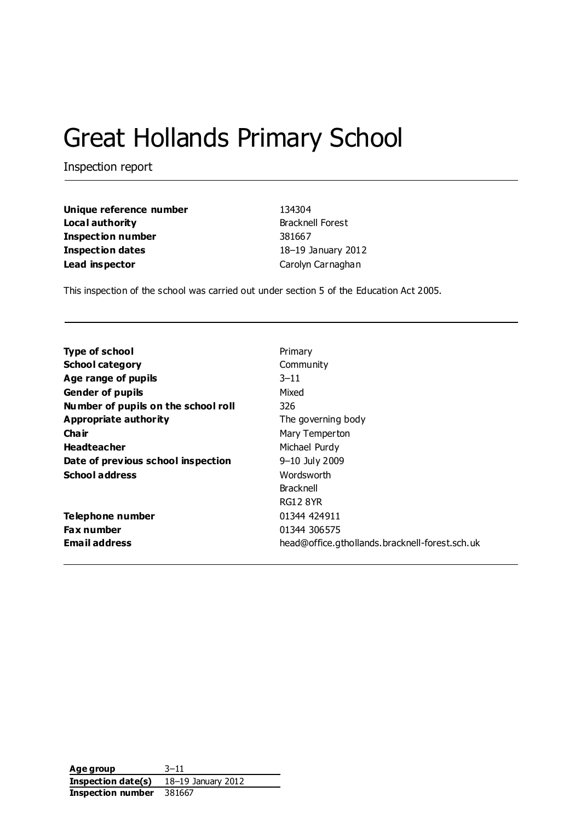# Great Hollands Primary School

Inspection report

| Unique reference number  | 134304                  |
|--------------------------|-------------------------|
| Local authority          | <b>Bracknell Forest</b> |
| <b>Inspection number</b> | 381667                  |
| <b>Inspection dates</b>  | 18-19 January 2012      |
| Lead inspector           | Carolyn Carnaghan       |

This inspection of the school was carried out under section 5 of the Education Act 2005.

| <b>Type of school</b>               | Primary                                        |
|-------------------------------------|------------------------------------------------|
| <b>School category</b>              | Community                                      |
| Age range of pupils                 | $3 - 11$                                       |
| <b>Gender of pupils</b>             | Mixed                                          |
| Number of pupils on the school roll | 326                                            |
| Appropriate authority               | The governing body                             |
| Cha ir                              | Mary Temperton                                 |
| <b>Headteacher</b>                  | Michael Purdy                                  |
| Date of previous school inspection  | 9–10 July 2009                                 |
| <b>School address</b>               | Wordsworth                                     |
|                                     | <b>Bracknell</b>                               |
|                                     | <b>RG12 8YR</b>                                |
| Telephone number                    | 01344 424911                                   |
| <b>Fax number</b>                   | 01344 306575                                   |
| <b>Email address</b>                | head@office.gthollands.bracknell-forest.sch.uk |

| Age group          | $3 - 11$           |
|--------------------|--------------------|
| Inspection date(s) | 18–19 January 2012 |
| Inspection number  | 381667             |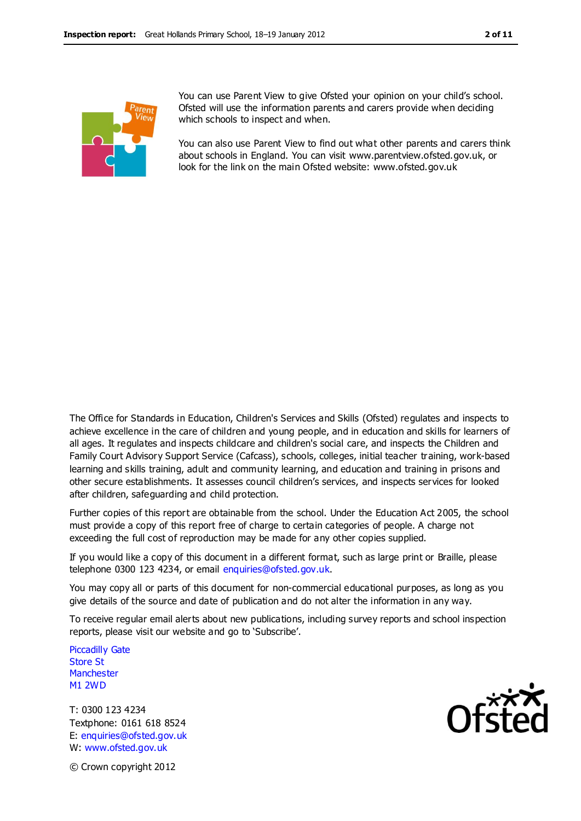

You can use Parent View to give Ofsted your opinion on your child's school. Ofsted will use the information parents and carers provide when deciding which schools to inspect and when.

You can also use Parent View to find out what other parents and carers think about schools in England. You can visit www.parentview.ofsted.gov.uk, or look for the link on the main Ofsted website: www.ofsted.gov.uk

The Office for Standards in Education, Children's Services and Skills (Ofsted) regulates and inspects to achieve excellence in the care of children and young people, and in education and skills for learners of all ages. It regulates and inspects childcare and children's social care, and inspects the Children and Family Court Advisory Support Service (Cafcass), schools, colleges, initial teacher training, work-based learning and skills training, adult and community learning, and education and training in prisons and other secure establishments. It assesses council children's services, and inspects services for looked after children, safeguarding and child protection.

Further copies of this report are obtainable from the school. Under the Education Act 2005, the school must provide a copy of this report free of charge to certain categories of people. A charge not exceeding the full cost of reproduction may be made for any other copies supplied.

If you would like a copy of this document in a different format, such as large print or Braille, please telephone 0300 123 4234, or email enquiries@ofsted.gov.uk.

You may copy all or parts of this document for non-commercial educational purposes, as long as you give details of the source and date of publication and do not alter the information in any way.

To receive regular email alerts about new publications, including survey reports and school inspection reports, please visit our website and go to 'Subscribe'.

Piccadilly Gate Store St **Manchester** M1 2WD

T: 0300 123 4234 Textphone: 0161 618 8524 E: enquiries@ofsted.gov.uk W: www.ofsted.gov.uk



© Crown copyright 2012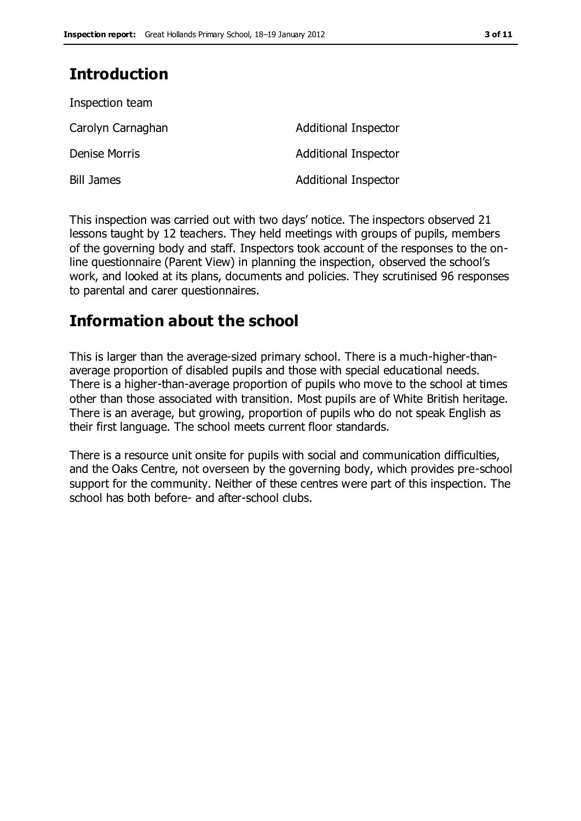### **Introduction**

| Inspection team      |                             |
|----------------------|-----------------------------|
| Carolyn Carnaghan    | Additional Inspector        |
| <b>Denise Morris</b> | <b>Additional Inspector</b> |
| <b>Bill James</b>    | <b>Additional Inspector</b> |

This inspection was carried out with two days' notice. The inspectors observed 21 lessons taught by 12 teachers. They held meetings with groups of pupils, members of the governing body and staff. Inspectors took account of the responses to the online questionnaire (Parent View) in planning the inspection, observed the school's work, and looked at its plans, documents and policies. They scrutinised 96 responses to parental and carer questionnaires.

### **Information about the school**

This is larger than the average-sized primary school. There is a much-higher-thanaverage proportion of disabled pupils and those with special educational needs. There is a higher-than-average proportion of pupils who move to the school at times other than those associated with transition. Most pupils are of White British heritage. There is an average, but growing, proportion of pupils who do not speak English as their first language. The school meets current floor standards.

There is a resource unit onsite for pupils with social and communication difficulties, and the Oaks Centre, not overseen by the governing body, which provides pre-school support for the community. Neither of these centres were part of this inspection. The school has both before- and after-school clubs.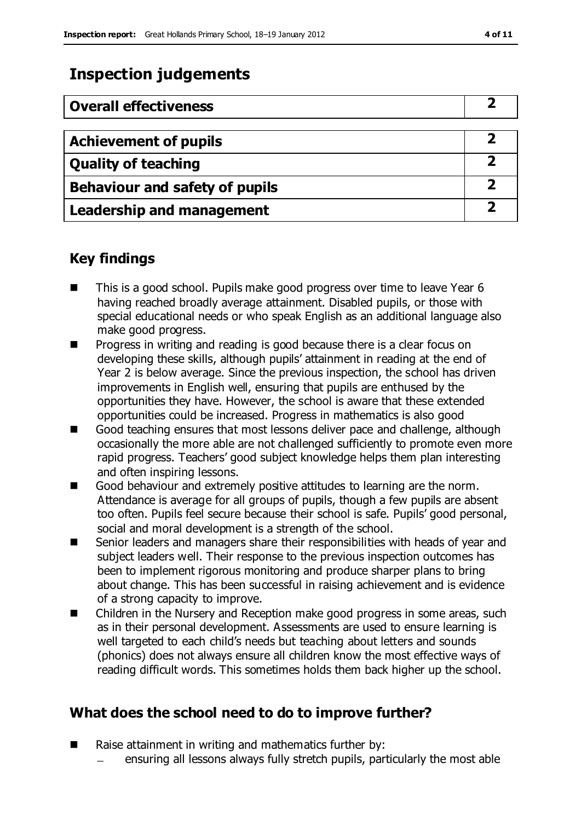### **Inspection judgements**

| <b>Overall effectiveness</b>     |  |
|----------------------------------|--|
|                                  |  |
| <b>Achievement of pupils</b>     |  |
| <b>Quality of teaching</b>       |  |
| Behaviour and safety of pupils   |  |
| <b>Leadership and management</b> |  |

### **Key findings**

- This is a good school. Pupils make good progress over time to leave Year 6 having reached broadly average attainment. Disabled pupils, or those with special educational needs or who speak English as an additional language also make good progress.
- **Progress in writing and reading is good because there is a clear focus on** developing these skills, although pupils' attainment in reading at the end of Year 2 is below average. Since the previous inspection, the school has driven improvements in English well, ensuring that pupils are enthused by the opportunities they have. However, the school is aware that these extended opportunities could be increased. Progress in mathematics is also good
- Good teaching ensures that most lessons deliver pace and challenge, although occasionally the more able are not challenged sufficiently to promote even more rapid progress. Teachers' good subject knowledge helps them plan interesting and often inspiring lessons.
- Good behaviour and extremely positive attitudes to learning are the norm. Attendance is average for all groups of pupils, though a few pupils are absent too often. Pupils feel secure because their school is safe. Pupils' good personal, social and moral development is a strength of the school.
- Senior leaders and managers share their responsibilities with heads of year and subject leaders well. Their response to the previous inspection outcomes has been to implement rigorous monitoring and produce sharper plans to bring about change. This has been successful in raising achievement and is evidence of a strong capacity to improve.
- Children in the Nursery and Reception make good progress in some areas, such as in their personal development. Assessments are used to ensure learning is well targeted to each child's needs but teaching about letters and sounds (phonics) does not always ensure all children know the most effective ways of reading difficult words. This sometimes holds them back higher up the school.

### **What does the school need to do to improve further?**

- Raise attainment in writing and mathematics further by:
	- ensuring all lessons always fully stretch pupils, particularly the most able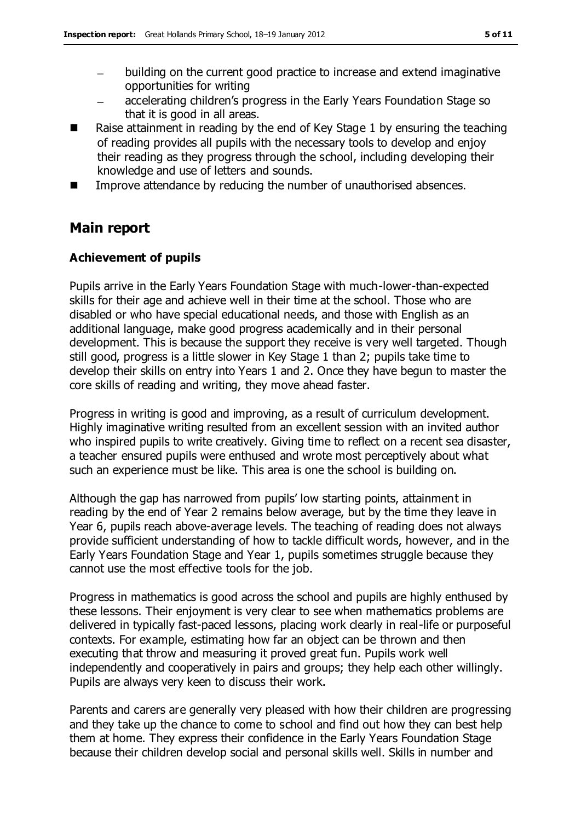- building on the current good practice to increase and extend imaginative  $\equiv$ opportunities for writing
- accelerating children's progress in the Early Years Foundation Stage so  $\equiv$ that it is good in all areas.
- Raise attainment in reading by the end of Key Stage 1 by ensuring the teaching of reading provides all pupils with the necessary tools to develop and enjoy their reading as they progress through the school, including developing their knowledge and use of letters and sounds.
- Improve attendance by reducing the number of unauthorised absences.

### **Main report**

### **Achievement of pupils**

Pupils arrive in the Early Years Foundation Stage with much-lower-than-expected skills for their age and achieve well in their time at the school. Those who are disabled or who have special educational needs, and those with English as an additional language, make good progress academically and in their personal development. This is because the support they receive is very well targeted. Though still good, progress is a little slower in Key Stage 1 than 2; pupils take time to develop their skills on entry into Years 1 and 2. Once they have begun to master the core skills of reading and writing, they move ahead faster.

Progress in writing is good and improving, as a result of curriculum development. Highly imaginative writing resulted from an excellent session with an invited author who inspired pupils to write creatively. Giving time to reflect on a recent sea disaster, a teacher ensured pupils were enthused and wrote most perceptively about what such an experience must be like. This area is one the school is building on.

Although the gap has narrowed from pupils' low starting points, attainment in reading by the end of Year 2 remains below average, but by the time they leave in Year 6, pupils reach above-average levels. The teaching of reading does not always provide sufficient understanding of how to tackle difficult words, however, and in the Early Years Foundation Stage and Year 1, pupils sometimes struggle because they cannot use the most effective tools for the job.

Progress in mathematics is good across the school and pupils are highly enthused by these lessons. Their enjoyment is very clear to see when mathematics problems are delivered in typically fast-paced lessons, placing work clearly in real-life or purposeful contexts. For example, estimating how far an object can be thrown and then executing that throw and measuring it proved great fun. Pupils work well independently and cooperatively in pairs and groups; they help each other willingly. Pupils are always very keen to discuss their work.

Parents and carers are generally very pleased with how their children are progressing and they take up the chance to come to school and find out how they can best help them at home. They express their confidence in the Early Years Foundation Stage because their children develop social and personal skills well. Skills in number and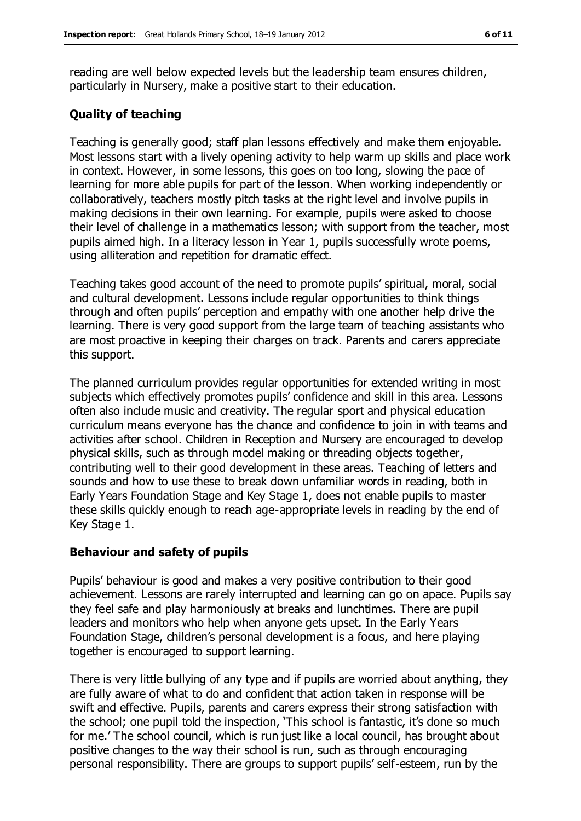reading are well below expected levels but the leadership team ensures children, particularly in Nursery, make a positive start to their education.

#### **Quality of teaching**

Teaching is generally good; staff plan lessons effectively and make them enjoyable. Most lessons start with a lively opening activity to help warm up skills and place work in context. However, in some lessons, this goes on too long, slowing the pace of learning for more able pupils for part of the lesson. When working independently or collaboratively, teachers mostly pitch tasks at the right level and involve pupils in making decisions in their own learning. For example, pupils were asked to choose their level of challenge in a mathematics lesson; with support from the teacher, most pupils aimed high. In a literacy lesson in Year 1, pupils successfully wrote poems, using alliteration and repetition for dramatic effect.

Teaching takes good account of the need to promote pupils' spiritual, moral, social and cultural development. Lessons include regular opportunities to think things through and often pupils' perception and empathy with one another help drive the learning. There is very good support from the large team of teaching assistants who are most proactive in keeping their charges on track. Parents and carers appreciate this support.

The planned curriculum provides regular opportunities for extended writing in most subjects which effectively promotes pupils' confidence and skill in this area. Lessons often also include music and creativity. The regular sport and physical education curriculum means everyone has the chance and confidence to join in with teams and activities after school. Children in Reception and Nursery are encouraged to develop physical skills, such as through model making or threading objects together, contributing well to their good development in these areas. Teaching of letters and sounds and how to use these to break down unfamiliar words in reading, both in Early Years Foundation Stage and Key Stage 1, does not enable pupils to master these skills quickly enough to reach age-appropriate levels in reading by the end of Key Stage 1.

#### **Behaviour and safety of pupils**

Pupils' behaviour is good and makes a very positive contribution to their good achievement. Lessons are rarely interrupted and learning can go on apace. Pupils say they feel safe and play harmoniously at breaks and lunchtimes. There are pupil leaders and monitors who help when anyone gets upset. In the Early Years Foundation Stage, children's personal development is a focus, and here playing together is encouraged to support learning.

There is very little bullying of any type and if pupils are worried about anything, they are fully aware of what to do and confident that action taken in response will be swift and effective. Pupils, parents and carers express their strong satisfaction with the school; one pupil told the inspection, 'This school is fantastic, it's done so much for me.' The school council, which is run just like a local council, has brought about positive changes to the way their school is run, such as through encouraging personal responsibility. There are groups to support pupils' self-esteem, run by the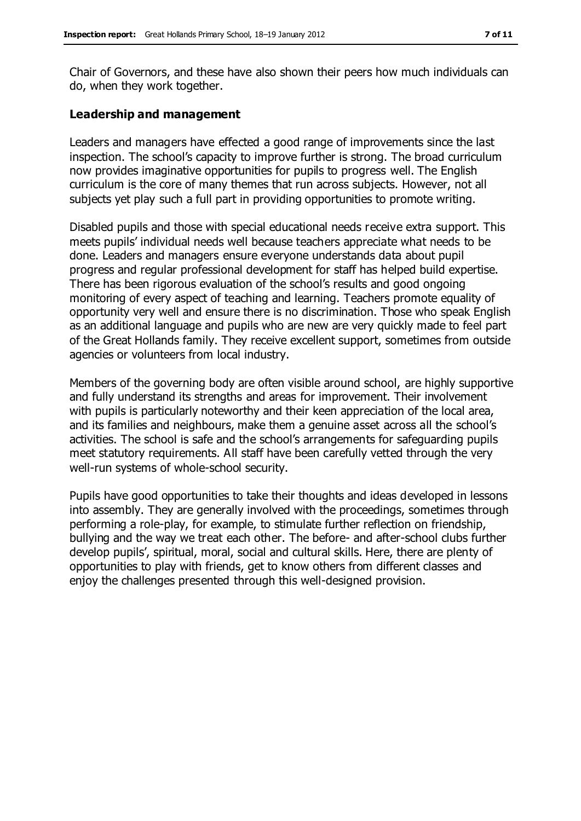Chair of Governors, and these have also shown their peers how much individuals can do, when they work together.

#### **Leadership and management**

Leaders and managers have effected a good range of improvements since the last inspection. The school's capacity to improve further is strong. The broad curriculum now provides imaginative opportunities for pupils to progress well. The English curriculum is the core of many themes that run across subjects. However, not all subjects yet play such a full part in providing opportunities to promote writing.

Disabled pupils and those with special educational needs receive extra support. This meets pupils' individual needs well because teachers appreciate what needs to be done. Leaders and managers ensure everyone understands data about pupil progress and regular professional development for staff has helped build expertise. There has been rigorous evaluation of the school's results and good ongoing monitoring of every aspect of teaching and learning. Teachers promote equality of opportunity very well and ensure there is no discrimination. Those who speak English as an additional language and pupils who are new are very quickly made to feel part of the Great Hollands family. They receive excellent support, sometimes from outside agencies or volunteers from local industry.

Members of the governing body are often visible around school, are highly supportive and fully understand its strengths and areas for improvement. Their involvement with pupils is particularly noteworthy and their keen appreciation of the local area, and its families and neighbours, make them a genuine asset across all the school's activities. The school is safe and the school's arrangements for safeguarding pupils meet statutory requirements. All staff have been carefully vetted through the very well-run systems of whole-school security.

Pupils have good opportunities to take their thoughts and ideas developed in lessons into assembly. They are generally involved with the proceedings, sometimes through performing a role-play, for example, to stimulate further reflection on friendship, bullying and the way we treat each other. The before- and after-school clubs further develop pupils', spiritual, moral, social and cultural skills. Here, there are plenty of opportunities to play with friends, get to know others from different classes and enjoy the challenges presented through this well-designed provision.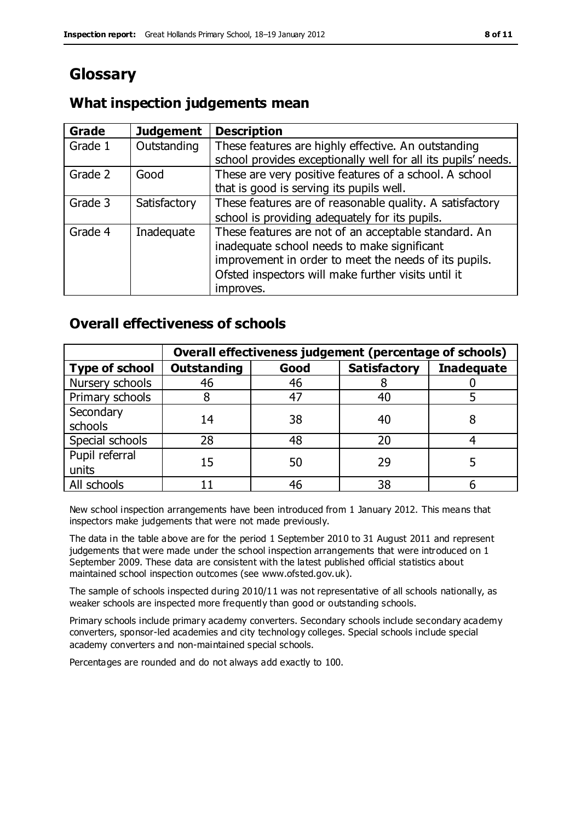### **Glossary**

### **What inspection judgements mean**

| Grade   | <b>Judgement</b> | <b>Description</b>                                            |
|---------|------------------|---------------------------------------------------------------|
| Grade 1 | Outstanding      | These features are highly effective. An outstanding           |
|         |                  | school provides exceptionally well for all its pupils' needs. |
| Grade 2 | Good             | These are very positive features of a school. A school        |
|         |                  | that is good is serving its pupils well.                      |
| Grade 3 | Satisfactory     | These features are of reasonable quality. A satisfactory      |
|         |                  | school is providing adequately for its pupils.                |
| Grade 4 | Inadequate       | These features are not of an acceptable standard. An          |
|         |                  | inadequate school needs to make significant                   |
|         |                  | improvement in order to meet the needs of its pupils.         |
|         |                  | Ofsted inspectors will make further visits until it           |
|         |                  | improves.                                                     |

### **Overall effectiveness of schools**

|                         | Overall effectiveness judgement (percentage of schools) |      |                     |                   |
|-------------------------|---------------------------------------------------------|------|---------------------|-------------------|
| <b>Type of school</b>   | <b>Outstanding</b>                                      | Good | <b>Satisfactory</b> | <b>Inadequate</b> |
| Nursery schools         | 46                                                      | 46   |                     |                   |
| Primary schools         |                                                         | 47   | 40                  |                   |
| Secondary<br>schools    | 14                                                      | 38   | 40                  |                   |
| Special schools         | 28                                                      | 48   | 20                  |                   |
| Pupil referral<br>units | 15                                                      | 50   | 29                  |                   |
| All schools             |                                                         | 46   | 38                  |                   |

New school inspection arrangements have been introduced from 1 January 2012. This means that inspectors make judgements that were not made previously.

The data in the table above are for the period 1 September 2010 to 31 August 2011 and represent judgements that were made under the school inspection arrangements that were introduced on 1 September 2009. These data are consistent with the latest published official statistics about maintained school inspection outcomes (see www.ofsted.gov.uk).

The sample of schools inspected during 2010/11 was not representative of all schools nationally, as weaker schools are inspected more frequently than good or outstanding schools.

Primary schools include primary academy converters. Secondary schools include secondary academy converters, sponsor-led academies and city technology colleges. Special schools include special academy converters and non-maintained special schools.

Percentages are rounded and do not always add exactly to 100.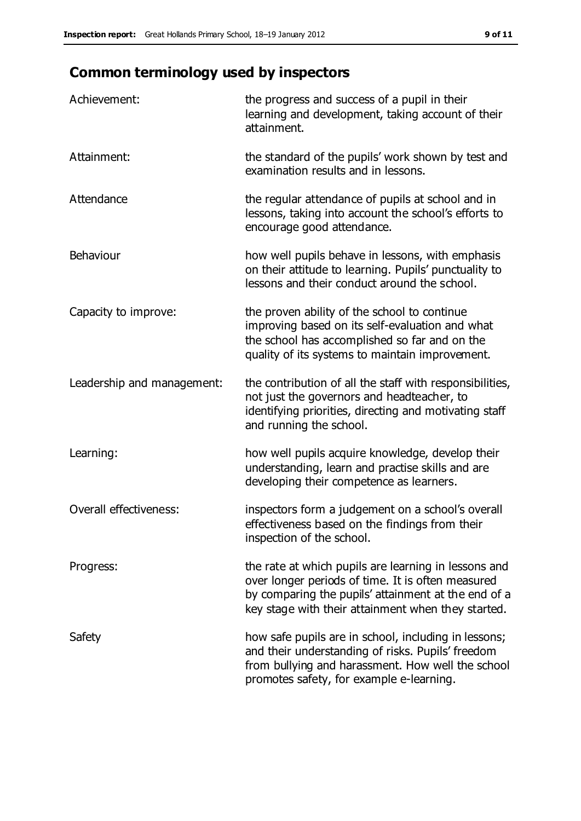## **Common terminology used by inspectors**

| Achievement:                  | the progress and success of a pupil in their<br>learning and development, taking account of their<br>attainment.                                                                                                       |
|-------------------------------|------------------------------------------------------------------------------------------------------------------------------------------------------------------------------------------------------------------------|
| Attainment:                   | the standard of the pupils' work shown by test and<br>examination results and in lessons.                                                                                                                              |
| Attendance                    | the regular attendance of pupils at school and in<br>lessons, taking into account the school's efforts to<br>encourage good attendance.                                                                                |
| Behaviour                     | how well pupils behave in lessons, with emphasis<br>on their attitude to learning. Pupils' punctuality to<br>lessons and their conduct around the school.                                                              |
| Capacity to improve:          | the proven ability of the school to continue<br>improving based on its self-evaluation and what<br>the school has accomplished so far and on the<br>quality of its systems to maintain improvement.                    |
| Leadership and management:    | the contribution of all the staff with responsibilities,<br>not just the governors and headteacher, to<br>identifying priorities, directing and motivating staff<br>and running the school.                            |
| Learning:                     | how well pupils acquire knowledge, develop their<br>understanding, learn and practise skills and are<br>developing their competence as learners.                                                                       |
| <b>Overall effectiveness:</b> | inspectors form a judgement on a school's overall<br>effectiveness based on the findings from their<br>inspection of the school.                                                                                       |
| Progress:                     | the rate at which pupils are learning in lessons and<br>over longer periods of time. It is often measured<br>by comparing the pupils' attainment at the end of a<br>key stage with their attainment when they started. |
| Safety                        | how safe pupils are in school, including in lessons;<br>and their understanding of risks. Pupils' freedom<br>from bullying and harassment. How well the school<br>promotes safety, for example e-learning.             |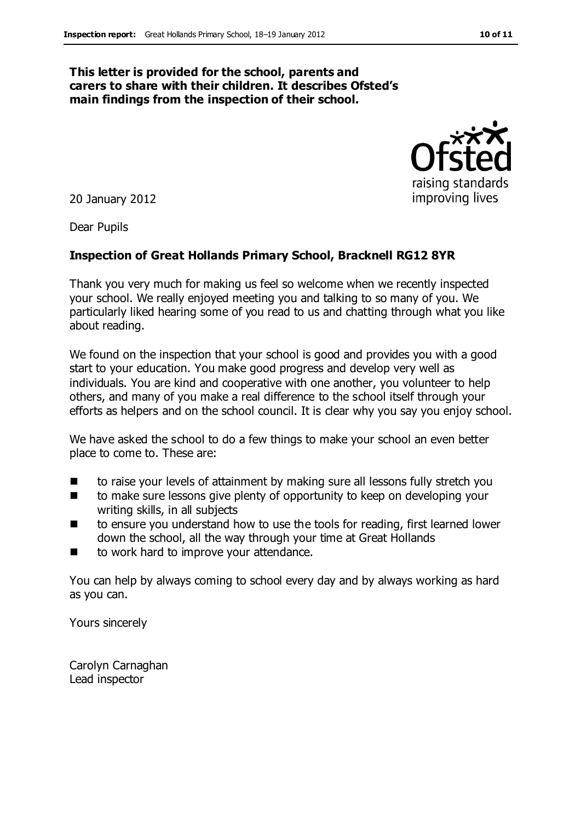#### **This letter is provided for the school, parents and carers to share with their children. It describes Ofsted's main findings from the inspection of their school.**

20 January 2012

Dear Pupils

#### **Inspection of Great Hollands Primary School, Bracknell RG12 8YR**

Thank you very much for making us feel so welcome when we recently inspected your school. We really enjoyed meeting you and talking to so many of you. We particularly liked hearing some of you read to us and chatting through what you like about reading.

We found on the inspection that your school is good and provides you with a good start to your education. You make good progress and develop very well as individuals. You are kind and cooperative with one another, you volunteer to help others, and many of you make a real difference to the school itself through your efforts as helpers and on the school council. It is clear why you say you enjoy school.

We have asked the school to do a few things to make your school an even better place to come to. These are:

- to raise your levels of attainment by making sure all lessons fully stretch you
- to make sure lessons give plenty of opportunity to keep on developing your writing skills, in all subjects
- to ensure you understand how to use the tools for reading, first learned lower down the school, all the way through your time at Great Hollands
- to work hard to improve your attendance.

You can help by always coming to school every day and by always working as hard as you can.

Yours sincerely

Carolyn Carnaghan Lead inspector